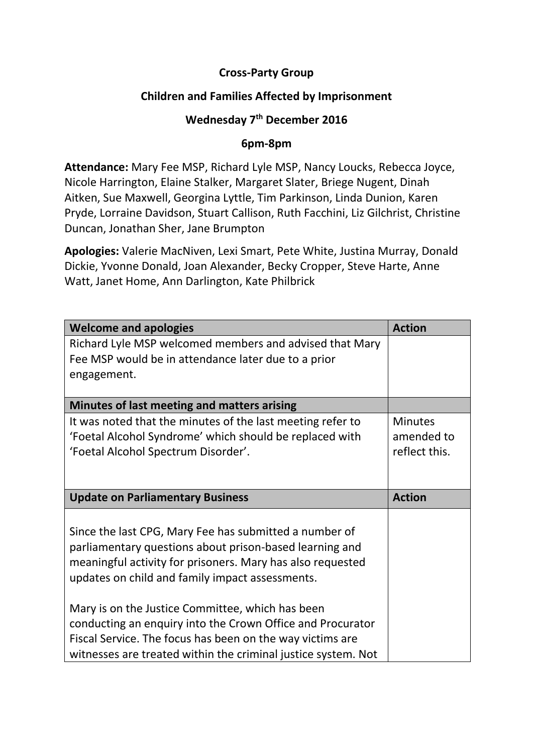## **Cross-Party Group**

## **Children and Families Affected by Imprisonment**

## **Wednesday 7 th December 2016**

## **6pm-8pm**

**Attendance:** Mary Fee MSP, Richard Lyle MSP, Nancy Loucks, Rebecca Joyce, Nicole Harrington, Elaine Stalker, Margaret Slater, Briege Nugent, Dinah Aitken, Sue Maxwell, Georgina Lyttle, Tim Parkinson, Linda Dunion, Karen Pryde, Lorraine Davidson, Stuart Callison, Ruth Facchini, Liz Gilchrist, Christine Duncan, Jonathan Sher, Jane Brumpton

**Apologies:** Valerie MacNiven, Lexi Smart, Pete White, Justina Murray, Donald Dickie, Yvonne Donald, Joan Alexander, Becky Cropper, Steve Harte, Anne Watt, Janet Home, Ann Darlington, Kate Philbrick

| <b>Welcome and apologies</b>                               | <b>Action</b>  |
|------------------------------------------------------------|----------------|
| Richard Lyle MSP welcomed members and advised that Mary    |                |
| Fee MSP would be in attendance later due to a prior        |                |
| engagement.                                                |                |
|                                                            |                |
| Minutes of last meeting and matters arising                |                |
| It was noted that the minutes of the last meeting refer to | <b>Minutes</b> |
| 'Foetal Alcohol Syndrome' which should be replaced with    | amended to     |
| 'Foetal Alcohol Spectrum Disorder'.                        | reflect this.  |
|                                                            |                |
|                                                            |                |
|                                                            |                |
| <b>Update on Parliamentary Business</b>                    | <b>Action</b>  |
|                                                            |                |
| Since the last CPG, Mary Fee has submitted a number of     |                |
| parliamentary questions about prison-based learning and    |                |
| meaningful activity for prisoners. Mary has also requested |                |
| updates on child and family impact assessments.            |                |
|                                                            |                |
| Mary is on the Justice Committee, which has been           |                |
| conducting an enquiry into the Crown Office and Procurator |                |
| Fiscal Service. The focus has been on the way victims are  |                |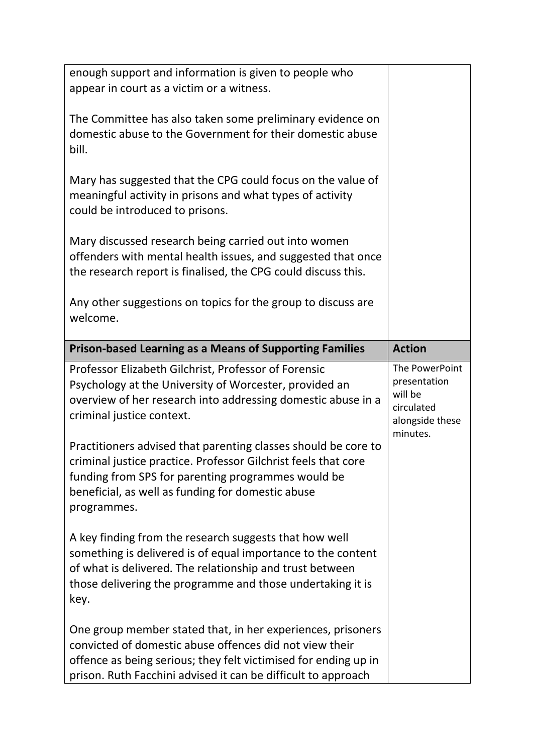| enough support and information is given to people who<br>appear in court as a victim or a witness.<br>The Committee has also taken some preliminary evidence on<br>domestic abuse to the Government for their domestic abuse<br>bill.<br>Mary has suggested that the CPG could focus on the value of<br>meaningful activity in prisons and what types of activity<br>could be introduced to prisons.<br>Mary discussed research being carried out into women<br>offenders with mental health issues, and suggested that once<br>the research report is finalised, the CPG could discuss this. |                                                                                        |
|-----------------------------------------------------------------------------------------------------------------------------------------------------------------------------------------------------------------------------------------------------------------------------------------------------------------------------------------------------------------------------------------------------------------------------------------------------------------------------------------------------------------------------------------------------------------------------------------------|----------------------------------------------------------------------------------------|
| Any other suggestions on topics for the group to discuss are<br>welcome.                                                                                                                                                                                                                                                                                                                                                                                                                                                                                                                      |                                                                                        |
| <b>Prison-based Learning as a Means of Supporting Families</b>                                                                                                                                                                                                                                                                                                                                                                                                                                                                                                                                | <b>Action</b>                                                                          |
| Professor Elizabeth Gilchrist, Professor of Forensic<br>Psychology at the University of Worcester, provided an<br>overview of her research into addressing domestic abuse in a<br>criminal justice context.<br>Practitioners advised that parenting classes should be core to<br>criminal justice practice. Professor Gilchrist feels that core<br>funding from SPS for parenting programmes would be<br>beneficial, as well as funding for domestic abuse<br>programmes.                                                                                                                     | The PowerPoint<br>presentation<br>will be<br>circulated<br>alongside these<br>minutes. |
| A key finding from the research suggests that how well<br>something is delivered is of equal importance to the content<br>of what is delivered. The relationship and trust between<br>those delivering the programme and those undertaking it is<br>key.                                                                                                                                                                                                                                                                                                                                      |                                                                                        |
| One group member stated that, in her experiences, prisoners<br>convicted of domestic abuse offences did not view their<br>offence as being serious; they felt victimised for ending up in                                                                                                                                                                                                                                                                                                                                                                                                     |                                                                                        |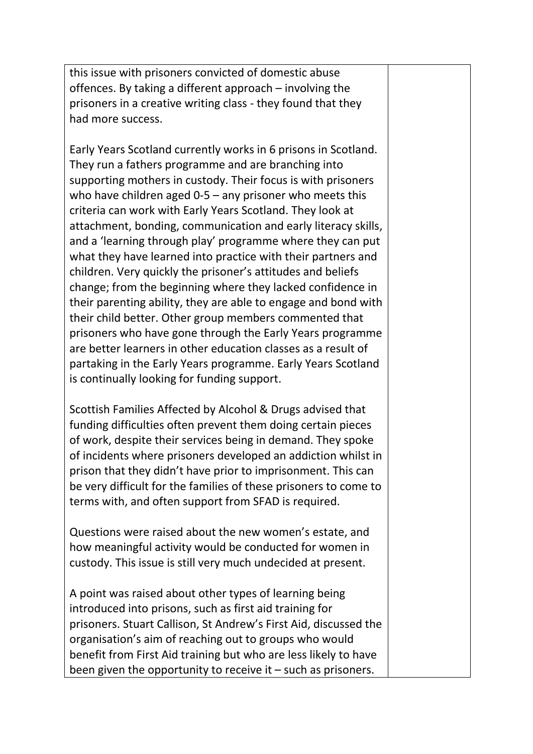this issue with prisoners convicted of domestic abuse offences. By taking a different approach – involving the prisoners in a creative writing class - they found that they had more success.

Early Years Scotland currently works in 6 prisons in Scotland. They run a fathers programme and are branching into supporting mothers in custody. Their focus is with prisoners who have children aged 0-5 – any prisoner who meets this criteria can work with Early Years Scotland. They look at attachment, bonding, communication and early literacy skills, and a 'learning through play' programme where they can put what they have learned into practice with their partners and children. Very quickly the prisoner's attitudes and beliefs change; from the beginning where they lacked confidence in their parenting ability, they are able to engage and bond with their child better. Other group members commented that prisoners who have gone through the Early Years programme are better learners in other education classes as a result of partaking in the Early Years programme. Early Years Scotland is continually looking for funding support.

Scottish Families Affected by Alcohol & Drugs advised that funding difficulties often prevent them doing certain pieces of work, despite their services being in demand. They spoke of incidents where prisoners developed an addiction whilst in prison that they didn't have prior to imprisonment. This can be very difficult for the families of these prisoners to come to terms with, and often support from SFAD is required.

Questions were raised about the new women's estate, and how meaningful activity would be conducted for women in custody. This issue is still very much undecided at present.

A point was raised about other types of learning being introduced into prisons, such as first aid training for prisoners. Stuart Callison, St Andrew's First Aid, discussed the organisation's aim of reaching out to groups who would benefit from First Aid training but who are less likely to have been given the opportunity to receive it – such as prisoners.